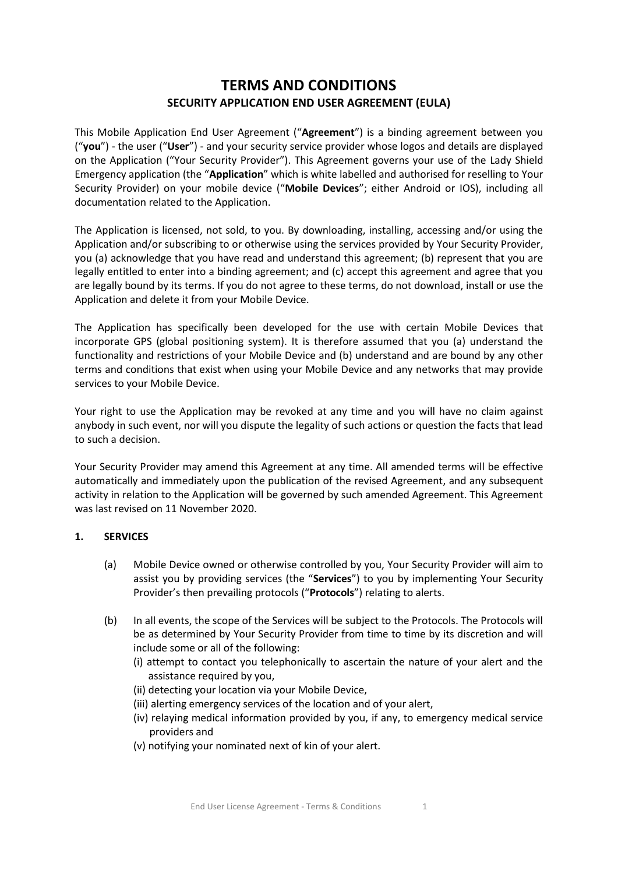# **TERMS AND CONDITIONS SECURITY APPLICATION END USER AGREEMENT (EULA)**

This Mobile Application End User Agreement ("**Agreement**") is a binding agreement between you ("**you**") - the user ("**User**") - and your security service provider whose logos and details are displayed on the Application ("Your Security Provider"). This Agreement governs your use of the Lady Shield Emergency application (the "**Application**" which is white labelled and authorised for reselling to Your Security Provider) on your mobile device ("**Mobile Devices**"; either Android or IOS), including all documentation related to the Application.

The Application is licensed, not sold, to you. By downloading, installing, accessing and/or using the Application and/or subscribing to or otherwise using the services provided by Your Security Provider, you (a) acknowledge that you have read and understand this agreement; (b) represent that you are legally entitled to enter into a binding agreement; and (c) accept this agreement and agree that you are legally bound by its terms. If you do not agree to these terms, do not download, install or use the Application and delete it from your Mobile Device.

The Application has specifically been developed for the use with certain Mobile Devices that incorporate GPS (global positioning system). It is therefore assumed that you (a) understand the functionality and restrictions of your Mobile Device and (b) understand and are bound by any other terms and conditions that exist when using your Mobile Device and any networks that may provide services to your Mobile Device.

Your right to use the Application may be revoked at any time and you will have no claim against anybody in such event, nor will you dispute the legality of such actions or question the facts that lead to such a decision.

Your Security Provider may amend this Agreement at any time. All amended terms will be effective automatically and immediately upon the publication of the revised Agreement, and any subsequent activity in relation to the Application will be governed by such amended Agreement. This Agreement was last revised on 11 November 2020.

# **1. SERVICES**

- (a) Mobile Device owned or otherwise controlled by you, Your Security Provider will aim to assist you by providing services (the "**Services**") to you by implementing Your Security Provider's then prevailing protocols ("**Protocols**") relating to alerts.
- <span id="page-0-0"></span>(b) In all events, the scope of the Services will be subject to the Protocols. The Protocols will be as determined by Your Security Provider from time to time by its discretion and will include some or all of the following:
	- (i) attempt to contact you telephonically to ascertain the nature of your alert and the assistance required by you,
	- (ii) detecting your location via your Mobile Device,
	- (iii) alerting emergency services of the location and of your alert,
	- (iv) relaying medical information provided by you, if any, to emergency medical service providers and
	- (v) notifying your nominated next of kin of your alert.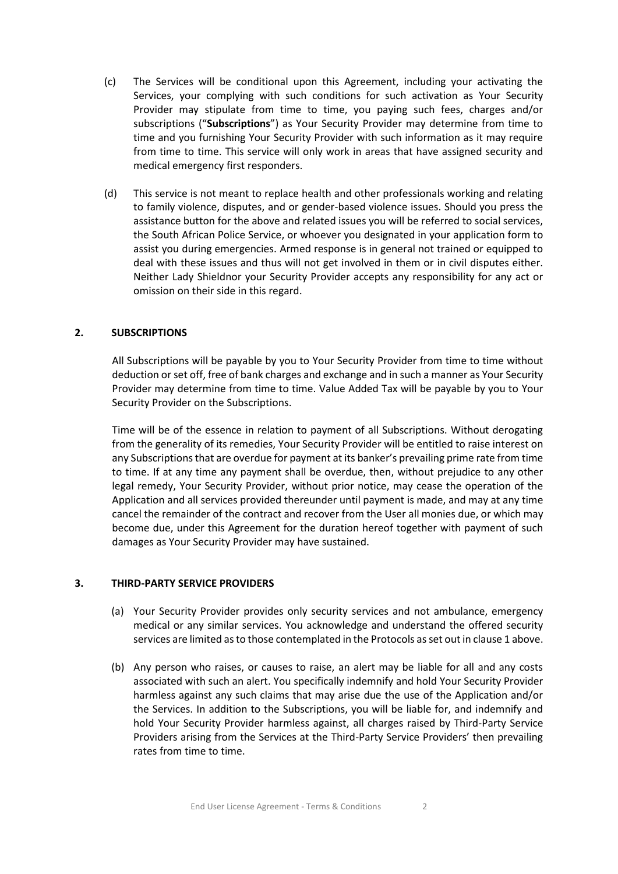- (c) The Services will be conditional upon this Agreement, including your activating the Services, your complying with such conditions for such activation as Your Security Provider may stipulate from time to time, you paying such fees, charges and/or subscriptions ("**Subscriptions**") as Your Security Provider may determine from time to time and you furnishing Your Security Provider with such information as it may require from time to time. This service will only work in areas that have assigned security and medical emergency first responders.
- (d) This service is not meant to replace health and other professionals working and relating to family violence, disputes, and or gender-based violence issues. Should you press the assistance button for the above and related issues you will be referred to social services, the South African Police Service, or whoever you designated in your application form to assist you during emergencies. Armed response is in general not trained or equipped to deal with these issues and thus will not get involved in them or in civil disputes either. Neither Lady Shieldnor your Security Provider accepts any responsibility for any act or omission on their side in this regard.

# **2. SUBSCRIPTIONS**

All Subscriptions will be payable by you to Your Security Provider from time to time without deduction or set off, free of bank charges and exchange and in such a manner as Your Security Provider may determine from time to time. Value Added Tax will be payable by you to Your Security Provider on the Subscriptions.

Time will be of the essence in relation to payment of all Subscriptions. Without derogating from the generality of its remedies, Your Security Provider will be entitled to raise interest on any Subscriptions that are overdue for payment at its banker's prevailing prime rate from time to time. If at any time any payment shall be overdue, then, without prejudice to any other legal remedy, Your Security Provider, without prior notice, may cease the operation of the Application and all services provided thereunder until payment is made, and may at any time cancel the remainder of the contract and recover from the User all monies due, or which may become due, under this Agreement for the duration hereof together with payment of such damages as Your Security Provider may have sustained.

#### **3. THIRD-PARTY SERVICE PROVIDERS**

- (a) Your Security Provider provides only security services and not ambulance, emergency medical or any similar services. You acknowledge and understand the offered security services are limited as to those contemplated in the Protocols as set out in clause 1 above.
- (b) Any person who raises, or causes to raise, an alert may be liable for all and any costs associated with such an alert. You specifically indemnify and hold Your Security Provider harmless against any such claims that may arise due the use of the Application and/or the Services. In addition to the Subscriptions, you will be liable for, and indemnify and hold Your Security Provider harmless against, all charges raised by Third-Party Service Providers arising from the Services at the Third-Party Service Providers' then prevailing rates from time to time.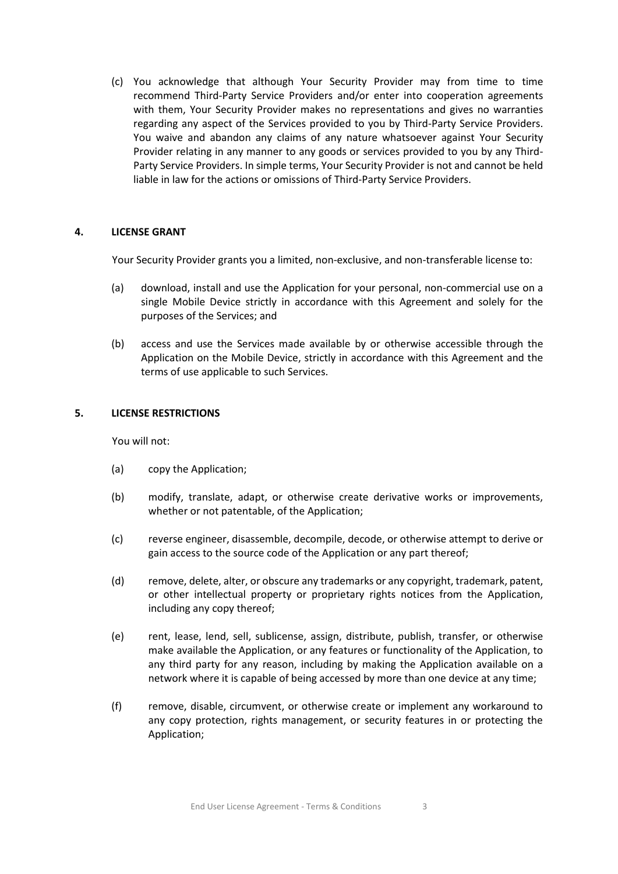(c) You acknowledge that although Your Security Provider may from time to time recommend Third-Party Service Providers and/or enter into cooperation agreements with them, Your Security Provider makes no representations and gives no warranties regarding any aspect of the Services provided to you by Third-Party Service Providers. You waive and abandon any claims of any nature whatsoever against Your Security Provider relating in any manner to any goods or services provided to you by any Third-Party Service Providers. In simple terms, Your Security Provider is not and cannot be held liable in law for the actions or omissions of Third-Party Service Providers.

# **4. LICENSE GRANT**

Your Security Provider grants you a limited, non-exclusive, and non-transferable license to:

- (a) download, install and use the Application for your personal, non-commercial use on a single Mobile Device strictly in accordance with this Agreement and solely for the purposes of the Services; and
- (b) access and use the Services made available by or otherwise accessible through the Application on the Mobile Device, strictly in accordance with this Agreement and the terms of use applicable to such Services.

# **5. LICENSE RESTRICTIONS**

You will not:

- (a) copy the Application;
- (b) modify, translate, adapt, or otherwise create derivative works or improvements, whether or not patentable, of the Application;
- (c) reverse engineer, disassemble, decompile, decode, or otherwise attempt to derive or gain access to the source code of the Application or any part thereof;
- (d) remove, delete, alter, or obscure any trademarks or any copyright, trademark, patent, or other intellectual property or proprietary rights notices from the Application, including any copy thereof;
- (e) rent, lease, lend, sell, sublicense, assign, distribute, publish, transfer, or otherwise make available the Application, or any features or functionality of the Application, to any third party for any reason, including by making the Application available on a network where it is capable of being accessed by more than one device at any time;
- (f) remove, disable, circumvent, or otherwise create or implement any workaround to any copy protection, rights management, or security features in or protecting the Application;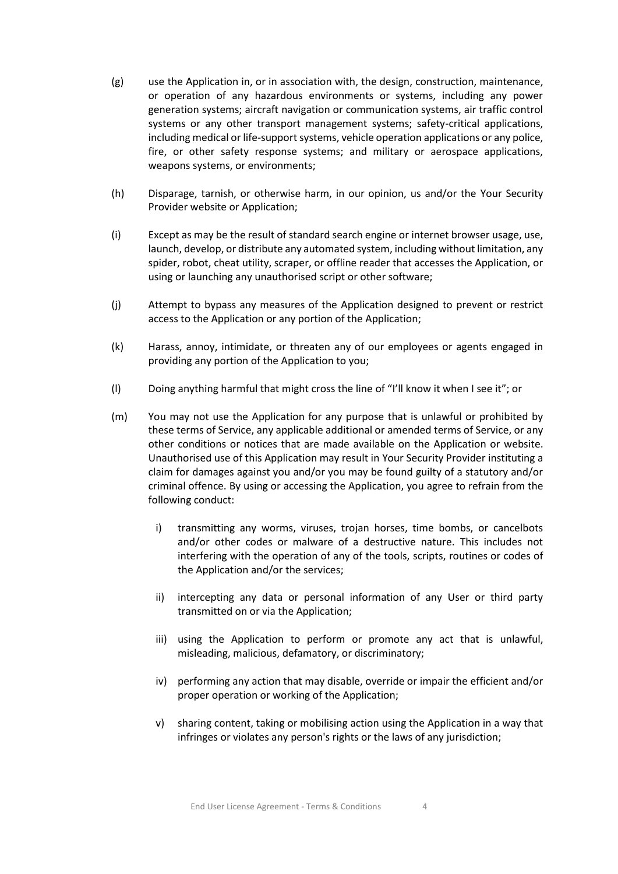- (g) use the Application in, or in association with, the design, construction, maintenance, or operation of any hazardous environments or systems, including any power generation systems; aircraft navigation or communication systems, air traffic control systems or any other transport management systems; safety-critical applications, including medical or life-support systems, vehicle operation applications or any police, fire, or other safety response systems; and military or aerospace applications, weapons systems, or environments;
- (h) Disparage, tarnish, or otherwise harm, in our opinion, us and/or the Your Security Provider website or Application;
- (i) Except as may be the result of standard search engine or internet browser usage, use, launch, develop, or distribute any automated system, including without limitation, any spider, robot, cheat utility, scraper, or offline reader that accesses the Application, or using or launching any unauthorised script or other software;
- (j) Attempt to bypass any measures of the Application designed to prevent or restrict access to the Application or any portion of the Application;
- (k) Harass, annoy, intimidate, or threaten any of our employees or agents engaged in providing any portion of the Application to you;
- (l) Doing anything harmful that might cross the line of "I'll know it when I see it"; or
- (m) You may not use the Application for any purpose that is unlawful or prohibited by these terms of Service, any applicable additional or amended terms of Service, or any other conditions or notices that are made available on the Application or website. Unauthorised use of this Application may result in Your Security Provider instituting a claim for damages against you and/or you may be found guilty of a statutory and/or criminal offence. By using or accessing the Application, you agree to refrain from the following conduct:
	- i) transmitting any worms, viruses, trojan horses, time bombs, or cancelbots and/or other codes or malware of a destructive nature. This includes not interfering with the operation of any of the tools, scripts, routines or codes of the Application and/or the services;
	- ii) intercepting any data or personal information of any User or third party transmitted on or via the Application;
	- iii) using the Application to perform or promote any act that is unlawful, misleading, malicious, defamatory, or discriminatory;
	- iv) performing any action that may disable, override or impair the efficient and/or proper operation or working of the Application;
	- v) sharing content, taking or mobilising action using the Application in a way that infringes or violates any person's rights or the laws of any jurisdiction;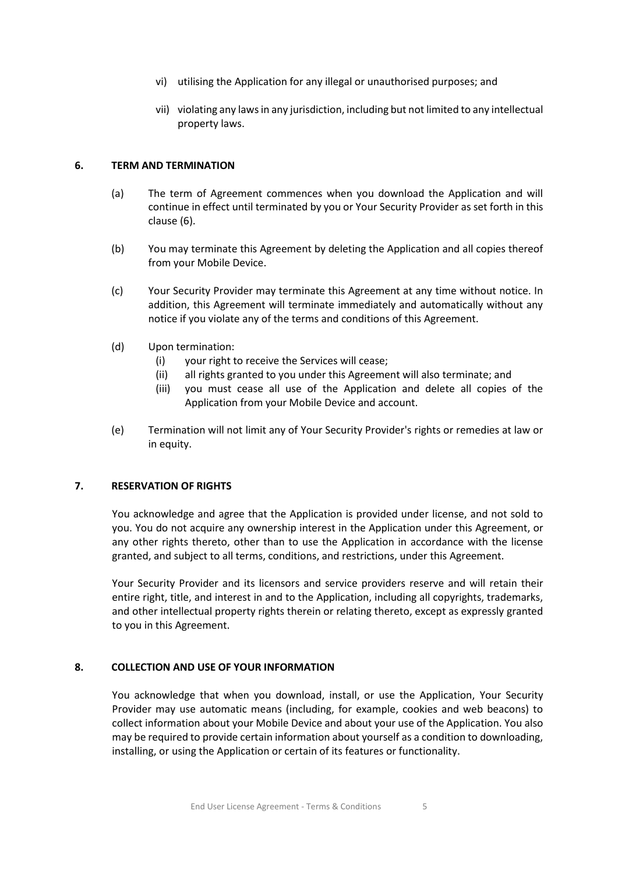- vi) utilising the Application for any illegal or unauthorised purposes; and
- vii) violating any laws in any jurisdiction, including but not limited to any intellectual property laws.

#### <span id="page-4-0"></span>**6. TERM AND TERMINATION**

- (a) The term of Agreement commences when you download the Application and will continue in effect until terminated by you or Your Security Provider as set forth in this clause [\(6\)](#page-4-0).
- (b) You may terminate this Agreement by deleting the Application and all copies thereof from your Mobile Device.
- (c) Your Security Provider may terminate this Agreement at any time without notice. In addition, this Agreement will terminate immediately and automatically without any notice if you violate any of the terms and conditions of this Agreement.
- (d) Upon termination:
	- (i) your right to receive the Services will cease;
	- (ii) all rights granted to you under this Agreement will also terminate; and
	- (iii) you must cease all use of the Application and delete all copies of the Application from your Mobile Device and account.
- (e) Termination will not limit any of Your Security Provider's rights or remedies at law or in equity.

## **7. RESERVATION OF RIGHTS**

You acknowledge and agree that the Application is provided under license, and not sold to you. You do not acquire any ownership interest in the Application under this Agreement, or any other rights thereto, other than to use the Application in accordance with the license granted, and subject to all terms, conditions, and restrictions, under this Agreement.

Your Security Provider and its licensors and service providers reserve and will retain their entire right, title, and interest in and to the Application, including all copyrights, trademarks, and other intellectual property rights therein or relating thereto, except as expressly granted to you in this Agreement.

# **8. COLLECTION AND USE OF YOUR INFORMATION**

You acknowledge that when you download, install, or use the Application, Your Security Provider may use automatic means (including, for example, cookies and web beacons) to collect information about your Mobile Device and about your use of the Application. You also may be required to provide certain information about yourself as a condition to downloading, installing, or using the Application or certain of its features or functionality.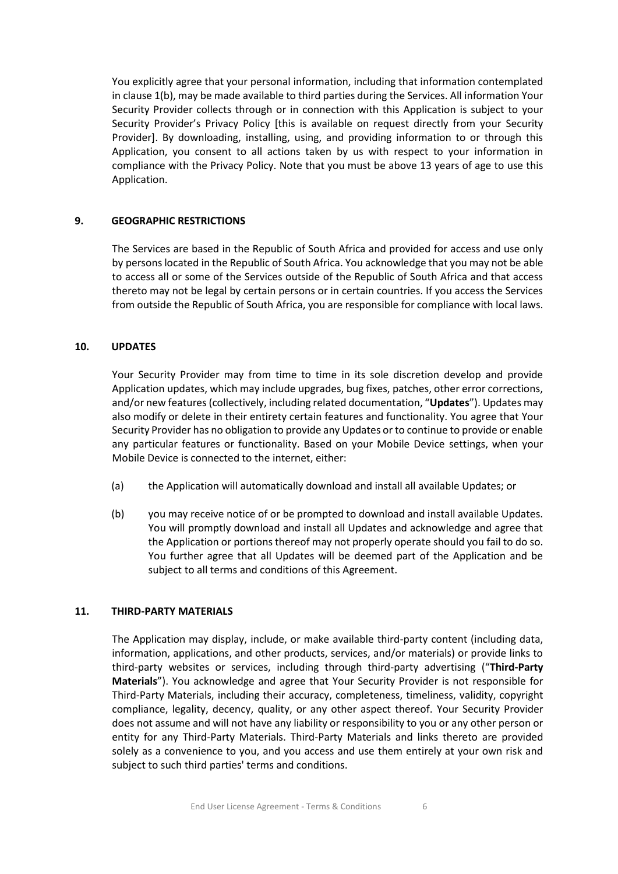You explicitly agree that your personal information, including that information contemplated in claus[e 1\(b\),](#page-0-0) may be made available to third parties during the Services. All information Your Security Provider collects through or in connection with this Application is subject to your Security Provider's Privacy Policy [this is available on request directly from your Security Provider]. By downloading, installing, using, and providing information to or through this Application, you consent to all actions taken by us with respect to your information in compliance with the Privacy Policy. Note that you must be above 13 years of age to use this Application.

# **9. GEOGRAPHIC RESTRICTIONS**

The Services are based in the Republic of South Africa and provided for access and use only by persons located in the Republic of South Africa. You acknowledge that you may not be able to access all or some of the Services outside of the Republic of South Africa and that access thereto may not be legal by certain persons or in certain countries. If you access the Services from outside the Republic of South Africa, you are responsible for compliance with local laws.

## **10. UPDATES**

Your Security Provider may from time to time in its sole discretion develop and provide Application updates, which may include upgrades, bug fixes, patches, other error corrections, and/or new features (collectively, including related documentation, "**Updates**"). Updates may also modify or delete in their entirety certain features and functionality. You agree that Your Security Provider has no obligation to provide any Updates or to continue to provide or enable any particular features or functionality. Based on your Mobile Device settings, when your Mobile Device is connected to the internet, either:

- (a) the Application will automatically download and install all available Updates; or
- (b) you may receive notice of or be prompted to download and install available Updates. You will promptly download and install all Updates and acknowledge and agree that the Application or portions thereof may not properly operate should you fail to do so. You further agree that all Updates will be deemed part of the Application and be subject to all terms and conditions of this Agreement.

#### **11. THIRD-PARTY MATERIALS**

The Application may display, include, or make available third-party content (including data, information, applications, and other products, services, and/or materials) or provide links to third-party websites or services, including through third-party advertising ("**Third-Party Materials**"). You acknowledge and agree that Your Security Provider is not responsible for Third-Party Materials, including their accuracy, completeness, timeliness, validity, copyright compliance, legality, decency, quality, or any other aspect thereof. Your Security Provider does not assume and will not have any liability or responsibility to you or any other person or entity for any Third-Party Materials. Third-Party Materials and links thereto are provided solely as a convenience to you, and you access and use them entirely at your own risk and subject to such third parties' terms and conditions.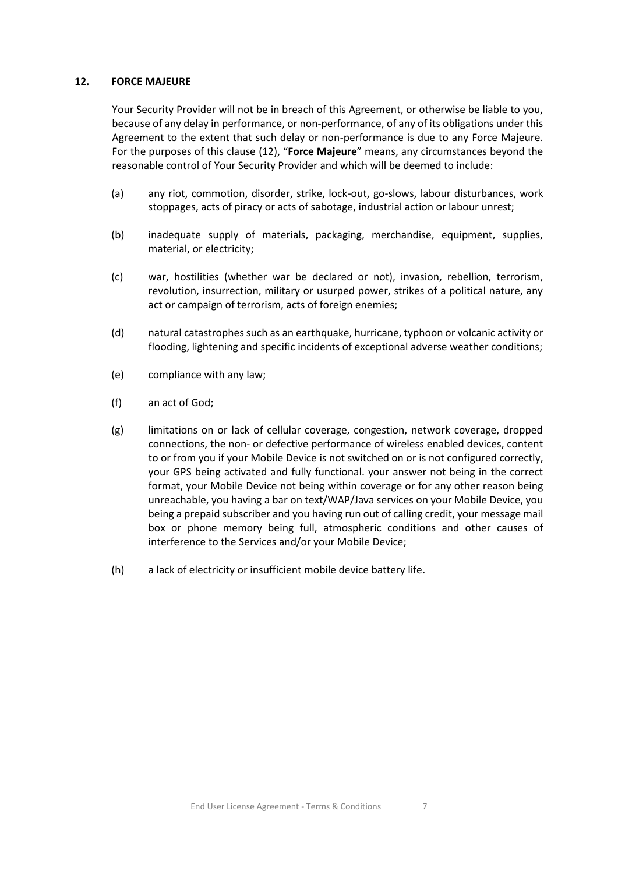## <span id="page-6-0"></span>**12. FORCE MAJEURE**

Your Security Provider will not be in breach of this Agreement, or otherwise be liable to you, because of any delay in performance, or non-performance, of any of its obligations under this Agreement to the extent that such delay or non-performance is due to any Force Majeure. For the purposes of this clause [\(12\)](#page-6-0), "**Force Majeure**" means, any circumstances beyond the reasonable control of Your Security Provider and which will be deemed to include:

- (a) any riot, commotion, disorder, strike, lock-out, go-slows, labour disturbances, work stoppages, acts of piracy or acts of sabotage, industrial action or labour unrest;
- (b) inadequate supply of materials, packaging, merchandise, equipment, supplies, material, or electricity;
- (c) war, hostilities (whether war be declared or not), invasion, rebellion, terrorism, revolution, insurrection, military or usurped power, strikes of a political nature, any act or campaign of terrorism, acts of foreign enemies;
- (d) natural catastrophes such as an earthquake, hurricane, typhoon or volcanic activity or flooding, lightening and specific incidents of exceptional adverse weather conditions;
- (e) compliance with any law;
- (f) an act of God;
- (g) limitations on or lack of cellular coverage, congestion, network coverage, dropped connections, the non- or defective performance of wireless enabled devices, content to or from you if your Mobile Device is not switched on or is not configured correctly, your GPS being activated and fully functional. your answer not being in the correct format, your Mobile Device not being within coverage or for any other reason being unreachable, you having a bar on text/WAP/Java services on your Mobile Device, you being a prepaid subscriber and you having run out of calling credit, your message mail box or phone memory being full, atmospheric conditions and other causes of interference to the Services and/or your Mobile Device;
- (h) a lack of electricity or insufficient mobile device battery life.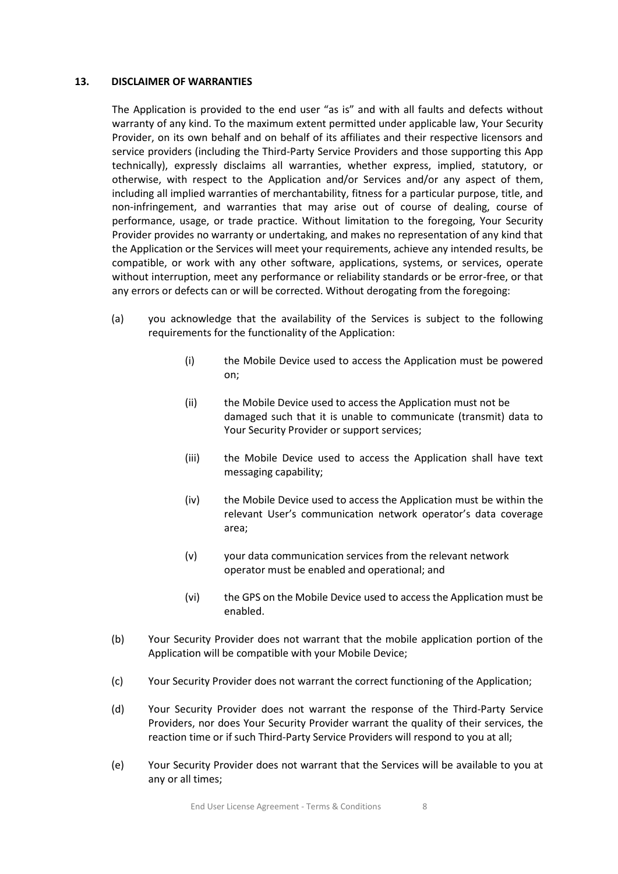#### **13. DISCLAIMER OF WARRANTIES**

The Application is provided to the end user "as is" and with all faults and defects without warranty of any kind. To the maximum extent permitted under applicable law, Your Security Provider, on its own behalf and on behalf of its affiliates and their respective licensors and service providers (including the Third-Party Service Providers and those supporting this App technically), expressly disclaims all warranties, whether express, implied, statutory, or otherwise, with respect to the Application and/or Services and/or any aspect of them, including all implied warranties of merchantability, fitness for a particular purpose, title, and non-infringement, and warranties that may arise out of course of dealing, course of performance, usage, or trade practice. Without limitation to the foregoing, Your Security Provider provides no warranty or undertaking, and makes no representation of any kind that the Application or the Services will meet your requirements, achieve any intended results, be compatible, or work with any other software, applications, systems, or services, operate without interruption, meet any performance or reliability standards or be error-free, or that any errors or defects can or will be corrected. Without derogating from the foregoing:

- (a) you acknowledge that the availability of the Services is subject to the following requirements for the functionality of the Application:
	- (i) the Mobile Device used to access the Application must be powered on;
	- (ii) the Mobile Device used to access the Application must not be damaged such that it is unable to communicate (transmit) data to Your Security Provider or support services;
	- (iii) the Mobile Device used to access the Application shall have text messaging capability;
	- (iv) the Mobile Device used to access the Application must be within the relevant User's communication network operator's data coverage area;
	- (v) your data communication services from the relevant network operator must be enabled and operational; and
	- (vi) the GPS on the Mobile Device used to access the Application must be enabled.
- (b) Your Security Provider does not warrant that the mobile application portion of the Application will be compatible with your Mobile Device;
- (c) Your Security Provider does not warrant the correct functioning of the Application;
- (d) Your Security Provider does not warrant the response of the Third-Party Service Providers, nor does Your Security Provider warrant the quality of their services, the reaction time or if such Third-Party Service Providers will respond to you at all;
- (e) Your Security Provider does not warrant that the Services will be available to you at any or all times;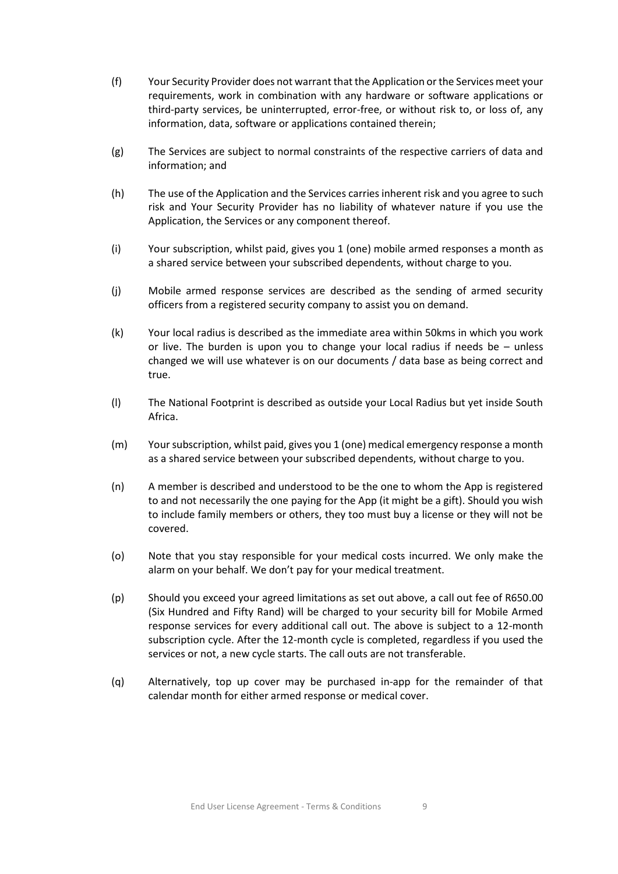- (f) Your Security Provider does not warrant that the Application or the Services meet your requirements, work in combination with any hardware or software applications or third-party services, be uninterrupted, error-free, or without risk to, or loss of, any information, data, software or applications contained therein;
- (g) The Services are subject to normal constraints of the respective carriers of data and information; and
- (h) The use of the Application and the Services carries inherent risk and you agree to such risk and Your Security Provider has no liability of whatever nature if you use the Application, the Services or any component thereof.
- (i) Your subscription, whilst paid, gives you 1 (one) mobile armed responses a month as a shared service between your subscribed dependents, without charge to you.
- (j) Mobile armed response services are described as the sending of armed security officers from a registered security company to assist you on demand.
- (k) Your local radius is described as the immediate area within 50kms in which you work or live. The burden is upon you to change your local radius if needs be  $-$  unless changed we will use whatever is on our documents / data base as being correct and true.
- (l) The National Footprint is described as outside your Local Radius but yet inside South Africa.
- (m) Your subscription, whilst paid, gives you 1 (one) medical emergency response a month as a shared service between your subscribed dependents, without charge to you.
- (n) A member is described and understood to be the one to whom the App is registered to and not necessarily the one paying for the App (it might be a gift). Should you wish to include family members or others, they too must buy a license or they will not be covered.
- (o) Note that you stay responsible for your medical costs incurred. We only make the alarm on your behalf. We don't pay for your medical treatment.
- (p) Should you exceed your agreed limitations as set out above, a call out fee of R650.00 (Six Hundred and Fifty Rand) will be charged to your security bill for Mobile Armed response services for every additional call out. The above is subject to a 12-month subscription cycle. After the 12-month cycle is completed, regardless if you used the services or not, a new cycle starts. The call outs are not transferable.
- (q) Alternatively, top up cover may be purchased in-app for the remainder of that calendar month for either armed response or medical cover.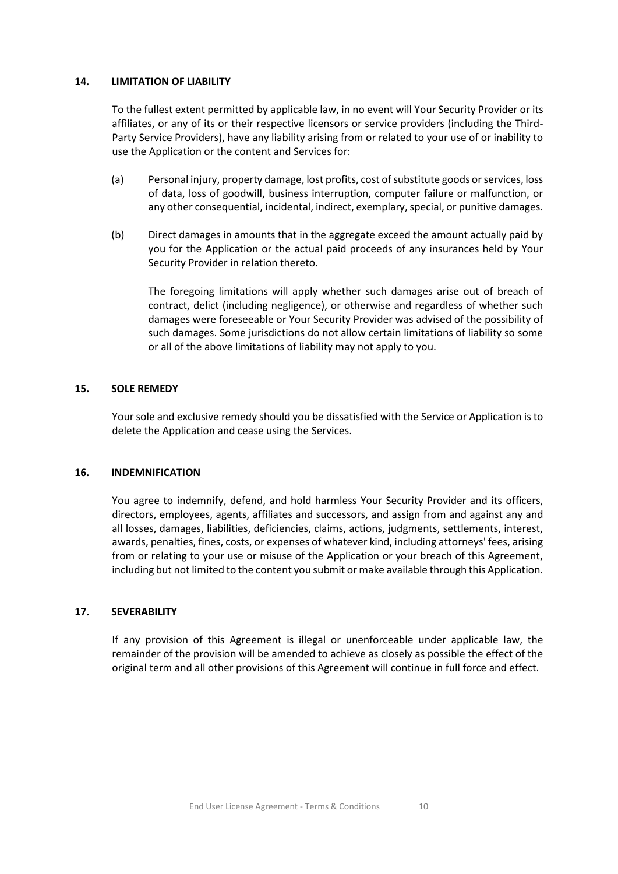#### **14. LIMITATION OF LIABILITY**

To the fullest extent permitted by applicable law, in no event will Your Security Provider or its affiliates, or any of its or their respective licensors or service providers (including the Third-Party Service Providers), have any liability arising from or related to your use of or inability to use the Application or the content and Services for:

- (a) Personal injury, property damage, lost profits, cost of substitute goods or services, loss of data, loss of goodwill, business interruption, computer failure or malfunction, or any other consequential, incidental, indirect, exemplary, special, or punitive damages.
- (b) Direct damages in amounts that in the aggregate exceed the amount actually paid by you for the Application or the actual paid proceeds of any insurances held by Your Security Provider in relation thereto.

The foregoing limitations will apply whether such damages arise out of breach of contract, delict (including negligence), or otherwise and regardless of whether such damages were foreseeable or Your Security Provider was advised of the possibility of such damages. Some jurisdictions do not allow certain limitations of liability so some or all of the above limitations of liability may not apply to you.

# **15. SOLE REMEDY**

Your sole and exclusive remedy should you be dissatisfied with the Service or Application is to delete the Application and cease using the Services.

## **16. INDEMNIFICATION**

You agree to indemnify, defend, and hold harmless Your Security Provider and its officers, directors, employees, agents, affiliates and successors, and assign from and against any and all losses, damages, liabilities, deficiencies, claims, actions, judgments, settlements, interest, awards, penalties, fines, costs, or expenses of whatever kind, including attorneys' fees, arising from or relating to your use or misuse of the Application or your breach of this Agreement, including but not limited to the content you submit or make available through this Application.

#### **17. SEVERABILITY**

If any provision of this Agreement is illegal or unenforceable under applicable law, the remainder of the provision will be amended to achieve as closely as possible the effect of the original term and all other provisions of this Agreement will continue in full force and effect.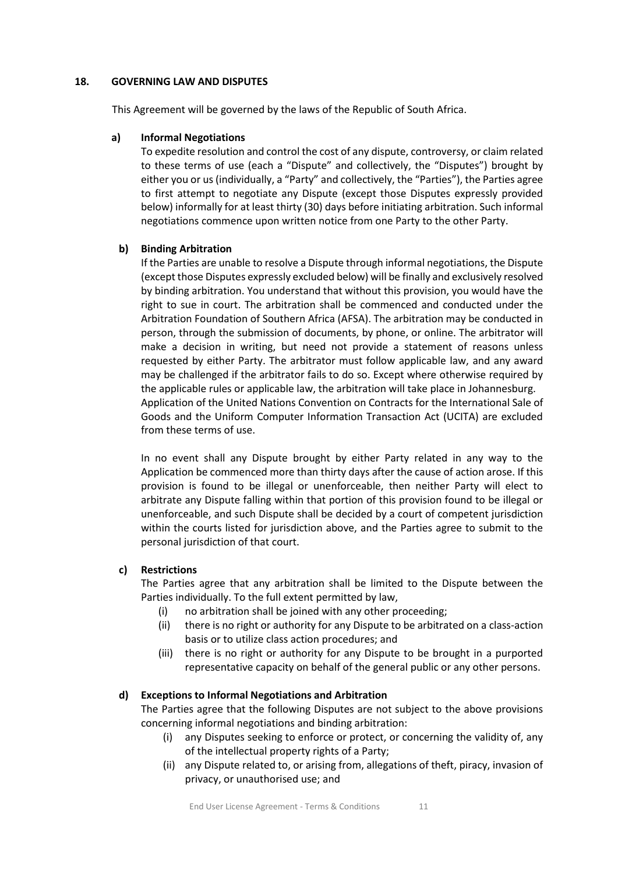#### **18. GOVERNING LAW AND DISPUTES**

This Agreement will be governed by the laws of the Republic of South Africa.

# **a) Informal Negotiations**

To expedite resolution and control the cost of any dispute, controversy, or claim related to these terms of use (each a "Dispute" and collectively, the "Disputes") brought by either you or us (individually, a "Party" and collectively, the "Parties"), the Parties agree to first attempt to negotiate any Dispute (except those Disputes expressly provided below) informally for at least thirty (30) days before initiating arbitration. Such informal negotiations commence upon written notice from one Party to the other Party.

# **b) Binding Arbitration**

If the Parties are unable to resolve a Dispute through informal negotiations, the Dispute (except those Disputes expressly excluded below) will be finally and exclusively resolved by binding arbitration. You understand that without this provision, you would have the right to sue in court. The arbitration shall be commenced and conducted under the Arbitration Foundation of Southern Africa (AFSA). The arbitration may be conducted in person, through the submission of documents, by phone, or online. The arbitrator will make a decision in writing, but need not provide a statement of reasons unless requested by either Party. The arbitrator must follow applicable law, and any award may be challenged if the arbitrator fails to do so. Except where otherwise required by the applicable rules or applicable law, the arbitration will take place in Johannesburg. Application of the United Nations Convention on Contracts for the International Sale of Goods and the Uniform Computer Information Transaction Act (UCITA) are excluded from these terms of use.

In no event shall any Dispute brought by either Party related in any way to the Application be commenced more than thirty days after the cause of action arose. If this provision is found to be illegal or unenforceable, then neither Party will elect to arbitrate any Dispute falling within that portion of this provision found to be illegal or unenforceable, and such Dispute shall be decided by a court of competent jurisdiction within the courts listed for jurisdiction above, and the Parties agree to submit to the personal jurisdiction of that court.

# **c) Restrictions**

The Parties agree that any arbitration shall be limited to the Dispute between the Parties individually. To the full extent permitted by law,

- (i) no arbitration shall be joined with any other proceeding;
- (ii) there is no right or authority for any Dispute to be arbitrated on a class-action basis or to utilize class action procedures; and
- (iii) there is no right or authority for any Dispute to be brought in a purported representative capacity on behalf of the general public or any other persons.

# **d) Exceptions to Informal Negotiations and Arbitration**

The Parties agree that the following Disputes are not subject to the above provisions concerning informal negotiations and binding arbitration:

- (i) any Disputes seeking to enforce or protect, or concerning the validity of, any of the intellectual property rights of a Party;
- (ii) any Dispute related to, or arising from, allegations of theft, piracy, invasion of privacy, or unauthorised use; and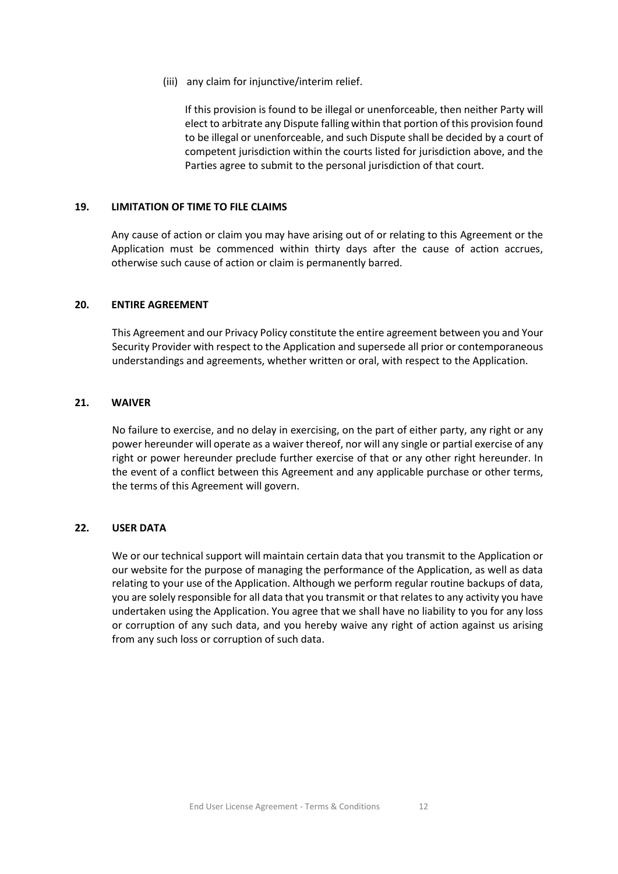(iii) any claim for injunctive/interim relief.

If this provision is found to be illegal or unenforceable, then neither Party will elect to arbitrate any Dispute falling within that portion of this provision found to be illegal or unenforceable, and such Dispute shall be decided by a court of competent jurisdiction within the courts listed for jurisdiction above, and the Parties agree to submit to the personal jurisdiction of that court.

## **19. LIMITATION OF TIME TO FILE CLAIMS**

Any cause of action or claim you may have arising out of or relating to this Agreement or the Application must be commenced within thirty days after the cause of action accrues, otherwise such cause of action or claim is permanently barred.

# **20. ENTIRE AGREEMENT**

This Agreement and our Privacy Policy constitute the entire agreement between you and Your Security Provider with respect to the Application and supersede all prior or contemporaneous understandings and agreements, whether written or oral, with respect to the Application.

## **21. WAIVER**

No failure to exercise, and no delay in exercising, on the part of either party, any right or any power hereunder will operate as a waiver thereof, nor will any single or partial exercise of any right or power hereunder preclude further exercise of that or any other right hereunder. In the event of a conflict between this Agreement and any applicable purchase or other terms, the terms of this Agreement will govern.

## **22. USER DATA**

We or our technical support will maintain certain data that you transmit to the Application or our website for the purpose of managing the performance of the Application, as well as data relating to your use of the Application. Although we perform regular routine backups of data, you are solely responsible for all data that you transmit or that relates to any activity you have undertaken using the Application. You agree that we shall have no liability to you for any loss or corruption of any such data, and you hereby waive any right of action against us arising from any such loss or corruption of such data.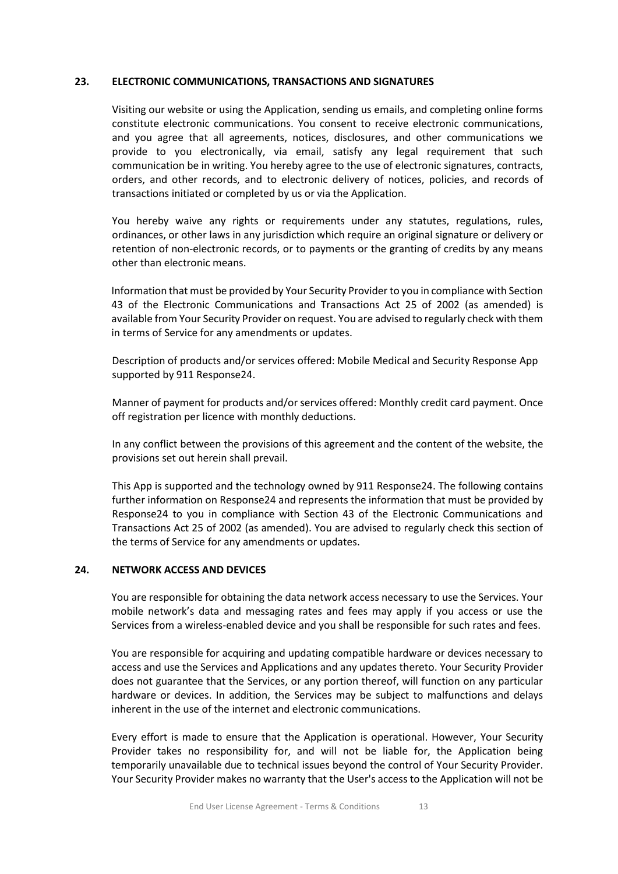#### **23. ELECTRONIC COMMUNICATIONS, TRANSACTIONS AND SIGNATURES**

Visiting our website or using the Application, sending us emails, and completing online forms constitute electronic communications. You consent to receive electronic communications, and you agree that all agreements, notices, disclosures, and other communications we provide to you electronically, via email, satisfy any legal requirement that such communication be in writing. You hereby agree to the use of electronic signatures, contracts, orders, and other records, and to electronic delivery of notices, policies, and records of transactions initiated or completed by us or via the Application.

You hereby waive any rights or requirements under any statutes, regulations, rules, ordinances, or other laws in any jurisdiction which require an original signature or delivery or retention of non-electronic records, or to payments or the granting of credits by any means other than electronic means.

Information that must be provided by Your Security Provider to you in compliance with Section 43 of the Electronic Communications and Transactions Act 25 of 2002 (as amended) is available from Your Security Provider on request. You are advised to regularly check with them in terms of Service for any amendments or updates.

Description of products and/or services offered: Mobile Medical and Security Response App supported by 911 Response24.

Manner of payment for products and/or services offered: Monthly credit card payment. Once off registration per licence with monthly deductions.

In any conflict between the provisions of this agreement and the content of the website, the provisions set out herein shall prevail.

This App is supported and the technology owned by 911 Response24. The following contains further information on Response24 and represents the information that must be provided by Response24 to you in compliance with Section 43 of the Electronic Communications and Transactions Act 25 of 2002 (as amended). You are advised to regularly check this section of the terms of Service for any amendments or updates.

#### **24. NETWORK ACCESS AND DEVICES**

You are responsible for obtaining the data network access necessary to use the Services. Your mobile network's data and messaging rates and fees may apply if you access or use the Services from a wireless-enabled device and you shall be responsible for such rates and fees.

You are responsible for acquiring and updating compatible hardware or devices necessary to access and use the Services and Applications and any updates thereto. Your Security Provider does not guarantee that the Services, or any portion thereof, will function on any particular hardware or devices. In addition, the Services may be subject to malfunctions and delays inherent in the use of the internet and electronic communications.

Every effort is made to ensure that the Application is operational. However, Your Security Provider takes no responsibility for, and will not be liable for, the Application being temporarily unavailable due to technical issues beyond the control of Your Security Provider. Your Security Provider makes no warranty that the User's access to the Application will not be